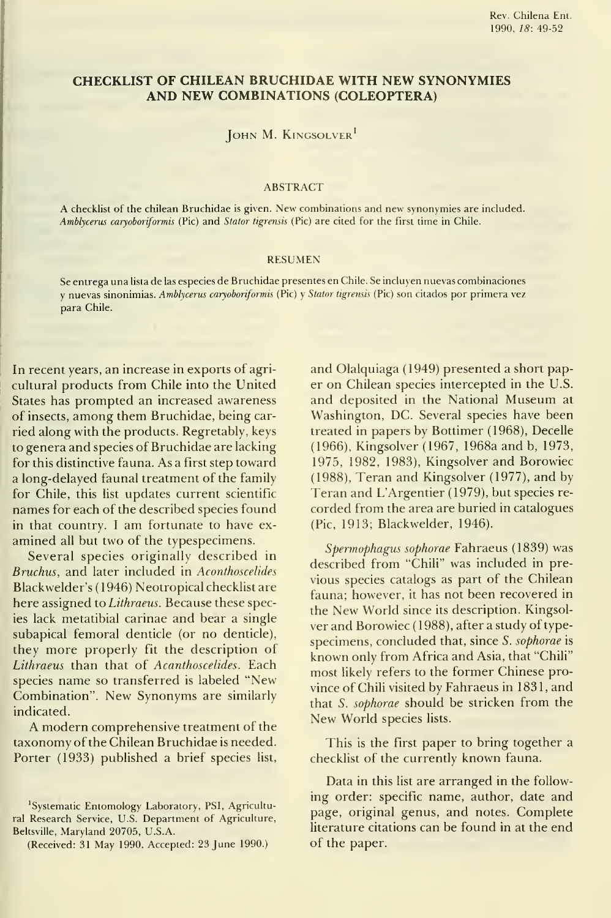## CHECKLIST OF CHILEAN BRUCHIDAE WITH NEW SYNONYMIES AND NEW COMBINATIONS (COLEOPTERA)

JOHN M. KINGSOLVER<sup>1</sup>

#### ABSTRACT

A checklist of the chilean Bruchidae is given. New combinations and new synonymies are included. Amblycerus caryoboriformis (Pie) and Stator tigrensis (Pie) are cited for the first time in Chile.

#### RESUMEN

Se entrega una lista de las especies de Bruchidae presentes en Chile. Se incluyen nuevas combinaciones <sup>y</sup> nuevas sinonimias. Amblycerus caryoboriformis (Pie) <sup>y</sup> Stator tigrensis (Pie) son citados por primera vez para Chile.

 In recent years, an increase in exports of agricultura! products from Chile into the United States has prompted an increased awareness of insects, among them Bruchidae, being car ried along with the products. Regretably, keys to genera and species of Bruchidae are lacking for this distinctive fauna. As a first step toward a long-delayed faunal treatment of the family for Chile, this list updates current scientific names for each of the described species found in that country. I am fortunate to have examined all but two of the typespecimens.

Several species originally described in Bruchus, and later included in Aconthoscelides Blackwelder's (1946) Neotropical checklist are here assigned to Lithraeus. Because these species lack metatibial carinae and bear a single subapical femoral denticle (or no denticle), they more properly fit the description of Lithraeus than that of Acanthoscelides. Each species name so transferred is labeled "New Combination". New Synonyms are similarly indicated.

A modern comprehensive treatment of the taxonomy of the Chilean Bruchidae is needed. Porter (1933) published a brief species list, and Olalquiaga (1949) presented a short paper on Chilean species intercepted in the U.S. and deposited in the National Museum at Washington, DC. Several species have been treated in papers by Bottimer (1968), Decelle (1966), Kingsolver (1967, 1968a and b, 1973, 1975, 1982, 1983), Kingsolver and Borowiec (1988), Teran and Kingsolver (1977), and by Teran and L'Argentier (1979), but species re corded from the area are buried in catalogues (Pie, 1913; Blackwelder, 1946).

Spermophagus sophorae Fahraeus (1839) was described from "Chili" was included in pre vious species catalogs as part of the Chilean fauna; however, it has not been recovered in the New World since its description. Kingsol ver and Borowiec (1988), after a study of typespecimens, concluded that, since 5. sophorae is known only from África and Asia, that "Chili" most likely refers to the former Chínese province of Chili visited by Fahraeus in 1831, and that S. sophorae should be stricken from the New World species lists.

This is the first paper to bring together a checklist of the currently known fauna.

Data in this list are arranged in the following order: specific name, author, date and page, original genus, and notes. Complete literature citations can be found in at the end of the paper.

<sup>&#</sup>x27;Systematic Entomology Laboratory, PSI, Agricultural Research Service, U.S. Department of Agriculture, Beltsville, Maryland 20705, U.S.A.

<sup>(</sup>Received: 31 May 1990. Accepted: 23 June 1990.)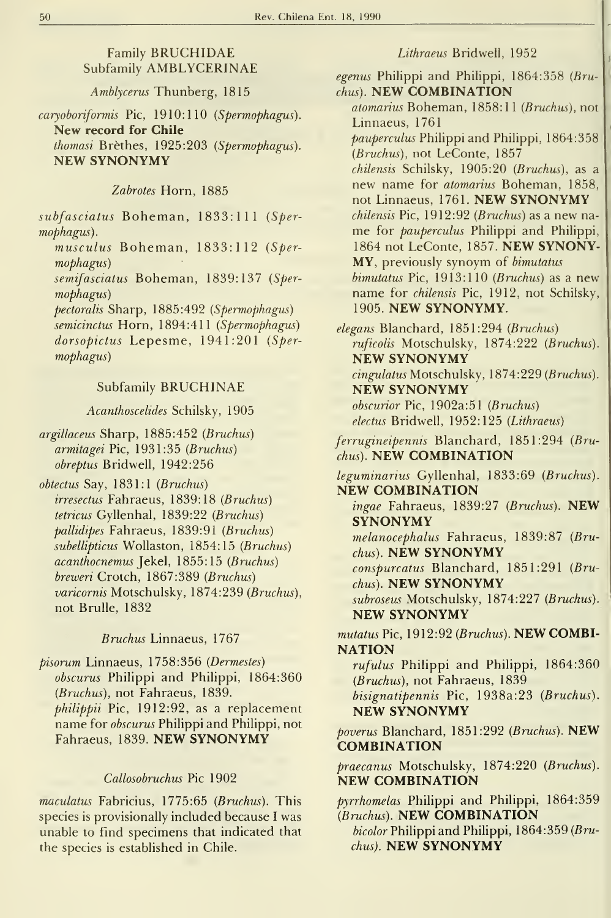# Family BRUCHIDAE Subfamily AMBLYCERINAE

Amblycerus Thunberg, 1815

caryoboriformis Pic, 1910:110 (Spermophagus). New record for Chile thomasi Brèthes, 1925:203 (Spermophagus). NEW SYNONYMY

## Zabrotes Horn, 1885

subfasciatus Boheman, 1833:111 (Spermophagus).

musculus Boheman, 1833:112 (Spermophagus)

semifasciatus Boheman, 1839:137 (Spermophagus)

pectoralis Sharp, 1885:492 (Spermophagus) semicinctus Horn, 1894:411 (Spermophagus) dorsopictus Lepesme, 1941:201 (Spermophagus)

## Subfamily BRUCHINAE

Acanthoscelides Schilsky, 1905

argillaceus Sharp, 1885:452 {Bruchus) armitagei Pie, 1931:35 {Bruchus) obreptus Bridwell, 1942:256

 $obtextus$  Say, 1831:1 (Bruchus) irresectus Fahraeus, 1839:18 {Bruchus) tetricus Gyllenhal, 1839:22 {Bruchus) pallidipes Fahraeus, 1839:91 {Bruchus) subellipticus Wollaston, 1854:15 (Bruchus) acanthocnemus ]eke\, 1855:15 {Bruchus) breweri Crotch, 1867:389 {Bruchus) varicornis Motschulsky, 1874:239 (Bruchus), not Brulle, 1832

### Bruchus Linnaeus, 1767

pisorum Linnaeus, 1758:356 {Dermestes) obscurus Philippi and Philippi, 1864:360 {Bruchus), not Fahraeus, 1839. philippii Pic, 1912:92, as a replacement name for *obscurus* Philippi and Philippi, not Fahraeus, 1839. NEW SYNONYMY

### Callosobruchus Pie 1902

maculatus Fabricius, 1775:65 (Bruchus). This species is provisionally included because I was unable to find specimens that indieated that the species is established in Chile.

## Lithraeus Bridwell, 1952

egenus Philippi and Philippi,  $1864:358$  (Bruchus). NEW COMBINATION

atomarius Boheman, 1858:11 (Bruchus), not Linnaeus, 1761 pauperculus Philippi and Philippi, 1864:358

(Bruchus), not LeConte, 1857 chilensis Sehilsky, 1905:20 {Bruchus), as a new name for atomarius Boheman, 1858, not Linnaeus, 1761. NEW SYNONYMY  $chilensis$  Pic,  $1912:92$  (Bruchus) as a new name for pauperculus Philippi and Philippi, <sup>1864</sup> not LeConte, 1857. NEW SYNONY-MY, previously synoym of bimutatus  $binutatus$  Pic,  $1913:110$  (Bruchus) as a new name for chilensis Pic, 1912, not Schilsky, 1905. NEW SYNONYMY.

elegans Blanchard, 1851:294 {Bruchus) ruficolis Motschulsky, 1874:222 (Bruchus). NEW SYNONYMY cingulatus Motschulsky, 1874:229 (Bruchus). NEW SYNONYMY obscurior Pic, 1902a:51 (Bruchus) electus Bridwell, 1952:125 (Lithraeus)

ferrugineipennis Blanehard, 1851:294 {Bruchus). NEW COMBINATION

leguminarius Gyllenhal, 1833:69 {Bruchus). NEW COMBINATION

ingae Fahraeus, 1839:27 (Bruchus). NEW SYNONYMY

melanocephalus Fahraeus, 1839:87 {Bruchus). NEW SYNONYMY

conspurcatus Blanehard, 1851:291 {Bruchus). NEW SYNONYMY

subroseus Motschulsky, 1874:227 (Bruchus). NEW SYNONYMY

mutatus Pic, 1912:92 (Bruchus). NEW COMBI-**NATION** 

rufulus Philippi and Philippi, 1864:360 (Bruchus), not Fahraeus, 1839 bisignatipennis Pie, 1938a:23 {Bruchus).

NEW SYNONYMY

poverus Blanchard, 1851:292 (Bruchus). NEW **COMBINATION** 

praecanus Motsehulsky, 1874:220 {Bruchus). NEW COMBINATION

pyrrhomelas Philippi and Philippi, 1864:359 {Bruchus). NEW COMBINATION

bicolor Philippi and Philippi,  $1864:359$  (Bruchus). NEW SYNONYMY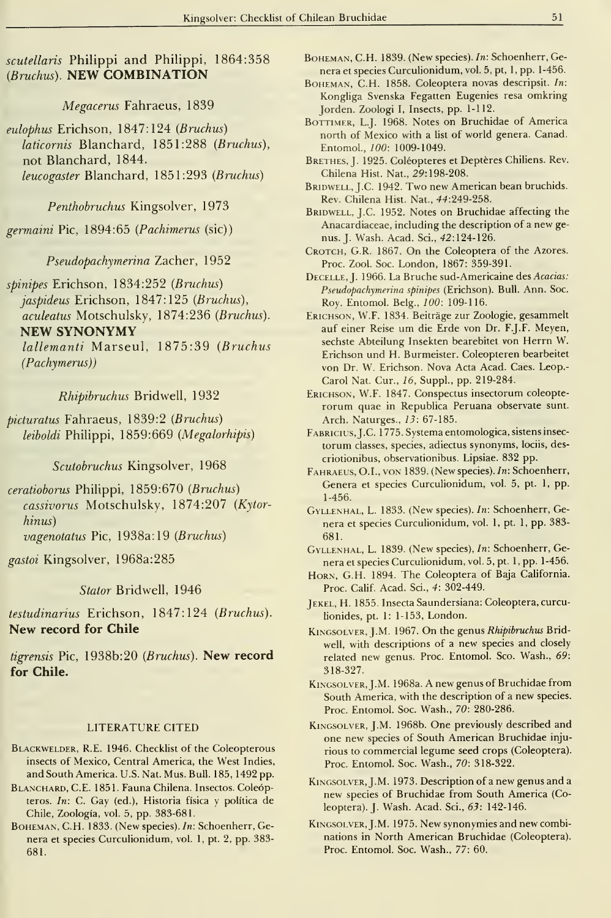scutellaris Philippi and Philippi, 1864:358 (Bruchus). NEW COMBINATION

Megacerus Fahraeus, 1839

eulophus Erichson, 1847:124 (Bruchus) laticornis Blanchard, 1851:288 (Bruchus), not Blanchard, 1844. leucogaster Blanchard, 1851:293 (Bruchus)

Penthobruchus Kingsolver, 1973

germaini Pie, 1894:65 (Pachimerus (sic))

Pseudopachymerina Zacher, 1952

spinipes Erichson, 1834:252 (Bruchus) jaspideus Erichson, 1847:125 (Bruchus), aculeatus Motschulsky, 1874:236 (Bruchus). NEW SYNONYMY lallemanti Marseul, 1875:39 (Bruchus

(Pachymerus))

Rhipibruchus Bridwell, 1932

picturatus Fahraeus, 1839:2 (Bruchus) leiboldi Philippi, 1859:669 (Megalorhipis)

Scutobruchus Kingsolver, 1968

ceratioborus Philippi, 1859:670 (Bruchus) cassivorus Motschulsky, 1874:207 (Kytorhinus)

vagenotatus Pie, 1938a: 19 (Bruchus)

gastoi Kingsolver, 1968a:285

Stator Bridwell, 1946

testudinarius Erichson, 1847:124 (Bruchus). New record for Chile

tigrensis Pic, 1938b:20 (Bruchus). New record for Chile.

## LITERATURE CITED

- Blackwelder, R.E. 1946. Checklist of the Coleopterous insects of Mexico, Central America, the West Indies, and South America. U.S. Nat. Mus. Bull. 185, 1492 pp.
- BLANCHARD, C.E. 1851. Fauna Chilena. Insectos. Coleópteros. In: C. Gay (ed.). Historia física <sup>y</sup> política de Chile, Zoología, vol. 5, pp. 383-681.
- BoHEMAN, C.H. 1833. (New species). In: Schoenherr, Genera et species Curculionidum, vol. 1, pt. 2, pp. 383- 681.
- BoHEMAN, C.H. 1839. (New species). In: Schoenherr, Genera et species Curculionidum, vol. 5, pt, l,pp. 1-456.
- BOHEMAN, C.H. 1858. Coleoptera novas descripsit. In: Kongliga Svenska Fegatten Eugenies resa omkring Jorden. Zoologi 1, Insects, pp. 1-112.
- BoTTiMER, L.J. 1968. Notes on Bruchidae of America north of Mexico with a list of world genera. Canad. Entomol., 100: 1009-1049.
- BRETHES, J. 1925. Coléopteres et Deptères Chiliens. Rev. Chilena Hist. Nat., 29:198-208.
- BRIDWELL, J.C. 1942. Two new American bean bruchids. Rev. Chilena Hist. Nat., 44:249-258.
- BRIDWELL, J.C. 1952. Notes on Bruchidae affecting the Anacardiaceae, including the description of a new ge nus. J. Wash. Acad. Sci., 42:124-126.
- CROTCH, G.R. 1867. On the Coleoptera of the Azores. Proc. Zool. Soc. London, 1867: 359-391.
- Decelle, J. 1966. La Bruche sud-Americaine des Acacias: Pseudopachymerina spinipes (Erichson). Bull. Ann. Soc. Roy. Entomol. Belg., 100: 109-116.
- Erichson, W.F. 1834. Beitráge zur Zoologie, gesammelt auf einer Reise um die Erde von Dr. F.J.F. Meyen, sechste Abteilung Insekten bearebitet von Herrn W. Erichson und H. Burmeister. Coleopteren bearbeitet von Dr. W. Erichson. Nova Acta Acad. Caes. Leop.- Carol Nat. Cur., 16, Suppl., pp. 219-284.
- Erichson, W.F. 1847. Conspectus insectorum coleopte rorum quae in Republica Peruana observate sunt. Arch. Naturges., 13: 67-185.
- FABRICIUS, J.C. 1775. Systema entomologica, sistens insectorum classes, species, adiectus synonyms, lociis, descriotionibus, observationibus. Lipsiae. 832 pp.
- FAHRAEUS, O.I., VON 1839. (New species). In: Schoenherr, Genera et species Curculionidum, vol. 5, pt. 1, pp. 1-456.
- Gvllenhal, L. 1833. (New species). In: Schoenherr, Genera et species Curculionidum, vol. 1, pt. 1, pp. 383- 681.
- Gyllenhal, L. 1839. (New species), In: Schoenherr, Genera et species Curculionidum, vol. 5, pt. 1, pp. 1-456.
- HORN, G.H. 1894. The Coleoptera of Baja California. Proc. Calif. Acad. Sci., 4: 302-449.
- JEKEL, H. 1855. Insecta Saundersiana: Coleoptera, curculionides, pt. 1: 1-153, London.
- Kingsolver, J.M. 1967. On the genus Rhipibruchus Bridwell, with descriptions of <sup>a</sup> new species and closely related new genus. Proc. Entomol. Sco. Wash., 69: 318-327.
- Kingsolver, J.M. 1968a. A new genus of Bruchidae from South America, with the description of <sup>a</sup> new species. Proc. Entomol. Soc. Wash., 70: 280-286.
- Kingsolver, J.M. 1968b. One previously described and one new species of South American Bruchidae inju rious to commercial legume seed crops (Coleoptera). Proc. Entomol. Soc. Wash., 70: 318-322.
- Kingsolver, J.M. 1973. Description of <sup>a</sup> new genus and <sup>a</sup> new species of Bruchidae from South America (Coleoptera). J. Wash. Acad. Sci., 63: 142-146.
- Kingsolver, J.M. 1975. New synonymies and new combinations in North American Bruchidae (Coleoptera). Proc. Entomol. Soc. Wash., 77: 60.